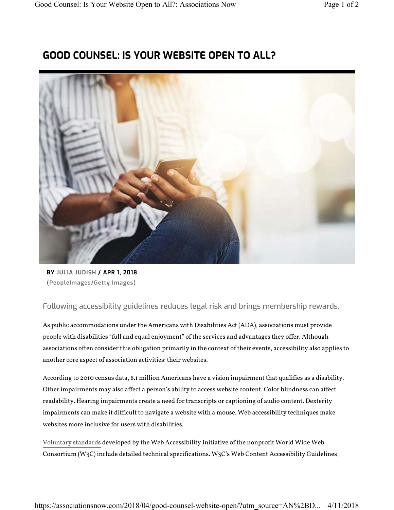## **GOOD COUNSEL: IS YOUR WEBSITE OPEN TO ALL?**



**BY JULIA JUDISH / APR 1, 2018 (PeopleImages/Getty Images)**

Following accessibility guidelines reduces legal risk and brings membership rewards.

As public accommodations under the Americans with Disabilities Act (ADA), associations must provide people with disabilities "full and equal enjoyment" of the services and advantages they offer. Although associations often consider this obligation primarily in the context of their events, accessibility also applies to another core aspect of association activities: their websites.

According to 2010 census data, 8.1 million Americans have a vision impairment that qualifies as a disability. Other impairments may also affect a person's ability to access website content. Color blindness can affect readability. Hearing impairments create a need for transcripts or captioning of audio content. Dexterity impairments can make it difficult to navigate a website with a mouse. Web accessibility techniques make websites more inclusive for users with disabilities.

Voluntary standards developed by the Web Accessibility Initiative of the nonprofit World Wide Web Consortium (W3C) include detailed technical specifications. W3C's Web Content Accessibility Guidelines,